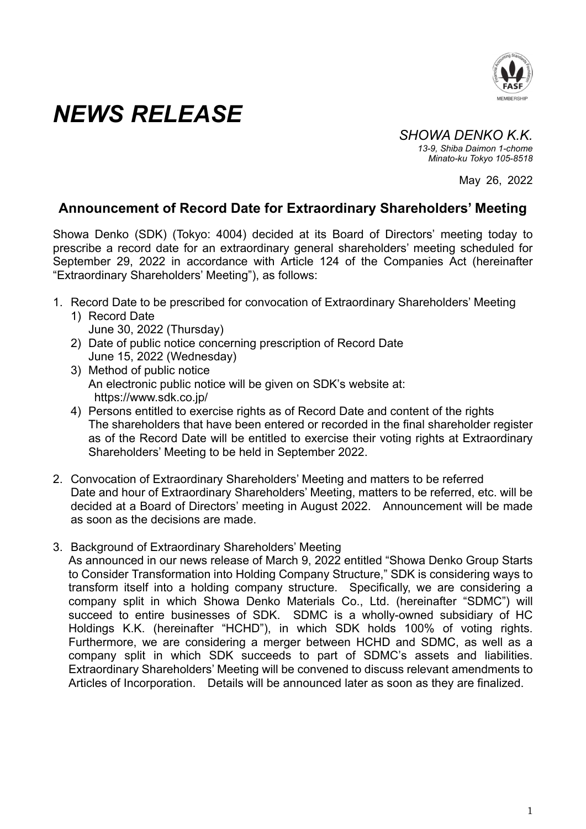

## *NEWS RELEASE*

*SHOWA DENKO K.K. 13-9, Shiba Daimon 1-chome Minato-ku Tokyo 105-8518* 

May 26, 2022

## **Announcement of Record Date for Extraordinary Shareholders' Meeting**

Showa Denko (SDK) (Tokyo: 4004) decided at its Board of Directors' meeting today to prescribe a record date for an extraordinary general shareholders' meeting scheduled for September 29, 2022 in accordance with Article 124 of the Companies Act (hereinafter "Extraordinary Shareholders' Meeting"), as follows:

- 1. Record Date to be prescribed for convocation of Extraordinary Shareholders' Meeting
	- 1) Record Date June 30, 2022 (Thursday)
	- 2) Date of public notice concerning prescription of Record Date June 15, 2022 (Wednesday)
	- 3) Method of public notice An electronic public notice will be given on SDK's website at: https://www.sdk.co.jp/
	- 4) Persons entitled to exercise rights as of Record Date and content of the rights The shareholders that have been entered or recorded in the final shareholder register as of the Record Date will be entitled to exercise their voting rights at Extraordinary Shareholders' Meeting to be held in September 2022.
- 2. Convocation of Extraordinary Shareholders' Meeting and matters to be referred Date and hour of Extraordinary Shareholders' Meeting, matters to be referred, etc. will be decided at a Board of Directors' meeting in August 2022. Announcement will be made as soon as the decisions are made.
- 3. Background of Extraordinary Shareholders' Meeting

As announced in our news release of March 9, 2022 entitled "Showa Denko Group Starts to Consider Transformation into Holding Company Structure," SDK is considering ways to transform itself into a holding company structure. Specifically, we are considering a company split in which Showa Denko Materials Co., Ltd. (hereinafter "SDMC") will succeed to entire businesses of SDK. SDMC is a wholly-owned subsidiary of HC Holdings K.K. (hereinafter "HCHD"), in which SDK holds 100% of voting rights. Furthermore, we are considering a merger between HCHD and SDMC, as well as a company split in which SDK succeeds to part of SDMC's assets and liabilities. Extraordinary Shareholders' Meeting will be convened to discuss relevant amendments to Articles of Incorporation. Details will be announced later as soon as they are finalized.